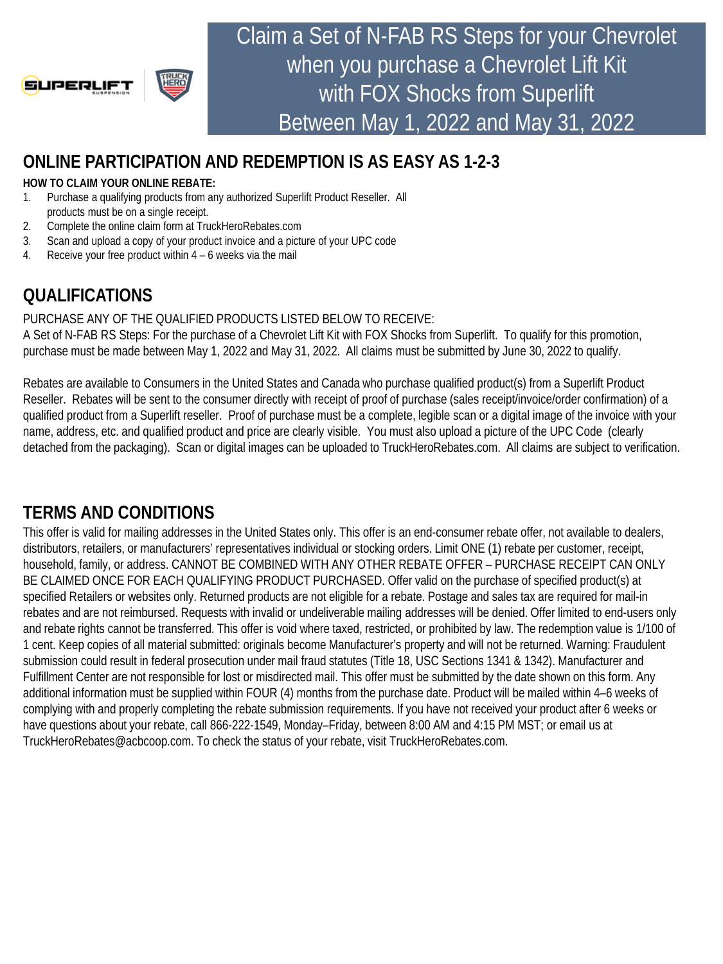

Claim a Set of N-FAB RS Steps for your Chevrolet when you purchase a Chevrolet Lift Kit with FOX Shocks from Superlift Between May 1, 2022 and May 31, 2022

## **ONLINE PARTICIPATION AND REDEMPTION IS AS EASY AS 1-2-3**

#### **HOW TO CLAIM YOUR ONLINE REBATE:**

- 1. Purchase a qualifying products from any authorized Superlift Product Reseller. All products must be on a single receipt.
- 2. Complete the online claim form at TruckHeroRebates.com
- 3. Scan and upload a copy of your product invoice and a picture of your UPC code
- 4. Receive your free product within 4 6 weeks via the mail

# **QUALIFICATIONS**

#### PURCHASE ANY OF THE QUALIFIED PRODUCTS LISTED BELOW TO RECEIVE:

A Set of N-FAB RS Steps: For the purchase of a Chevrolet Lift Kit with FOX Shocks from Superlift. To qualify for this promotion, purchase must be made between May 1, 2022 and May 31, 2022. All claims must be submitted by June 30, 2022 to qualify.

Rebates are available to Consumers in the United States and Canada who purchase qualified product(s) from a Superlift Product Reseller. Rebates will be sent to the consumer directly with receipt of proof of purchase (sales receipt/invoice/order confirmation) of a qualified product from a Superlift reseller. Proof of purchase must be a complete, legible scan or a digital image of the invoice with your name, address, etc. and qualified product and price are clearly visible. You must also upload a picture of the UPC Code (clearly detached from the packaging). Scan or digital images can be uploaded to TruckHeroRebates.com. All claims are subject to verification.

## **TERMS AND CONDITIONS**

This offer is valid for mailing addresses in the United States only. This offer is an end-consumer rebate offer, not available to dealers, distributors, retailers, or manufacturers' representatives individual or stocking orders. Limit ONE (1) rebate per customer, receipt, household, family, or address. CANNOT BE COMBINED WITH ANY OTHER REBATE OFFER – PURCHASE RECEIPT CAN ONLY BE CLAIMED ONCE FOR EACH QUALIFYING PRODUCT PURCHASED. Offer valid on the purchase of specified product(s) at specified Retailers or websites only. Returned products are not eligible for a rebate. Postage and sales tax are required for mail-in rebates and are not reimbursed. Requests with invalid or undeliverable mailing addresses will be denied. Offer limited to end-users only and rebate rights cannot be transferred. This offer is void where taxed, restricted, or prohibited by law. The redemption value is 1/100 of 1 cent. Keep copies of all material submitted: originals become Manufacturer's property and will not be returned. Warning: Fraudulent submission could result in federal prosecution under mail fraud statutes (Title 18, USC Sections 1341 & 1342). Manufacturer and Fulfillment Center are not responsible for lost or misdirected mail. This offer must be submitted by the date shown on this form. Any additional information must be supplied within FOUR (4) months from the purchase date. Product will be mailed within 4–6 weeks of complying with and properly completing the rebate submission requirements. If you have not received your product after 6 weeks or have questions about your rebate, call 866-222-1549, Monday–Friday, between 8:00 AM and 4:15 PM MST; or email us at TruckHeroRebates@acbcoop.com. To check the status of your rebate, visit TruckHeroRebates.com.